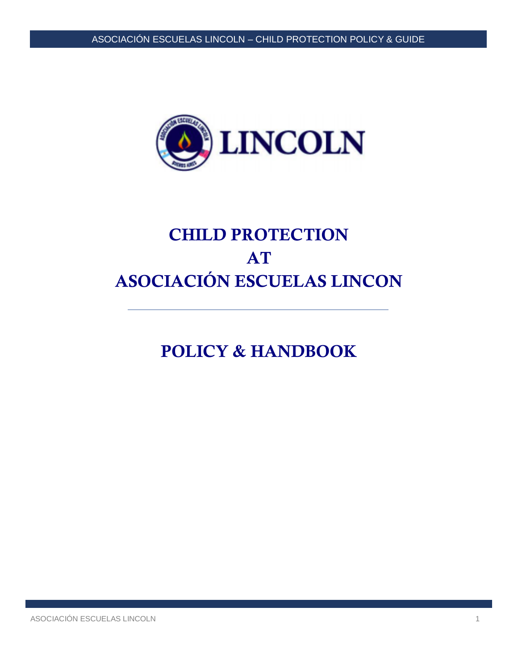

# CHILD PROTECTION AT ASOCIACIÓN ESCUELAS LINCON

POLICY & HANDBOOK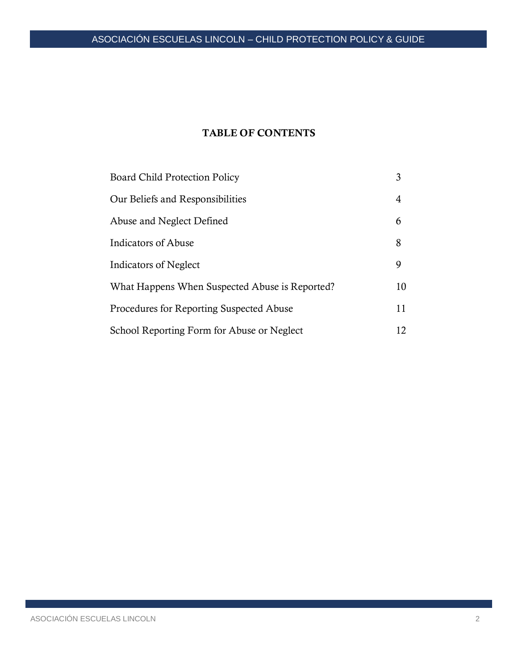# ASOCIACIÓN ESCUELAS LINCOLN – CHILD PROTECTION POLICY & GUIDE

# TABLE OF CONTENTS

| <b>Board Child Protection Policy</b>           | 3  |
|------------------------------------------------|----|
| Our Beliefs and Responsibilities               | 4  |
| Abuse and Neglect Defined                      | 6  |
| Indicators of Abuse                            | 8  |
| Indicators of Neglect                          | 9  |
| What Happens When Suspected Abuse is Reported? | 10 |
| Procedures for Reporting Suspected Abuse       | 11 |
| School Reporting Form for Abuse or Neglect     | 12 |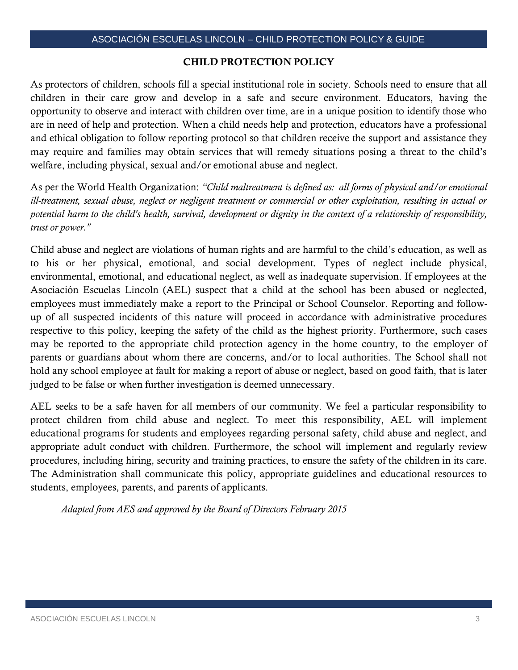#### CHILD PROTECTION POLICY

As protectors of children, schools fill a special institutional role in society. Schools need to ensure that all children in their care grow and develop in a safe and secure environment. Educators, having the opportunity to observe and interact with children over time, are in a unique position to identify those who are in need of help and protection. When a child needs help and protection, educators have a professional and ethical obligation to follow reporting protocol so that children receive the support and assistance they may require and families may obtain services that will remedy situations posing a threat to the child's welfare, including physical, sexual and/or emotional abuse and neglect.

As per the World Health Organization: *"Child maltreatment is defined as: all forms of physical and/or emotional ill-treatment, sexual abuse, neglect or negligent treatment or commercial or other exploitation, resulting in actual or potential harm to the child's health, survival, development or dignity in the context of a relationship of responsibility, trust or power."* 

Child abuse and neglect are violations of human rights and are harmful to the child's education, as well as to his or her physical, emotional, and social development. Types of neglect include physical, environmental, emotional, and educational neglect, as well as inadequate supervision. If employees at the Asociación Escuelas Lincoln (AEL) suspect that a child at the school has been abused or neglected, employees must immediately make a report to the Principal or School Counselor. Reporting and followup of all suspected incidents of this nature will proceed in accordance with administrative procedures respective to this policy, keeping the safety of the child as the highest priority. Furthermore, such cases may be reported to the appropriate child protection agency in the home country, to the employer of parents or guardians about whom there are concerns, and/or to local authorities. The School shall not hold any school employee at fault for making a report of abuse or neglect, based on good faith, that is later judged to be false or when further investigation is deemed unnecessary.

AEL seeks to be a safe haven for all members of our community. We feel a particular responsibility to protect children from child abuse and neglect. To meet this responsibility, AEL will implement educational programs for students and employees regarding personal safety, child abuse and neglect, and appropriate adult conduct with children. Furthermore, the school will implement and regularly review procedures, including hiring, security and training practices, to ensure the safety of the children in its care. The Administration shall communicate this policy, appropriate guidelines and educational resources to students, employees, parents, and parents of applicants.

*Adapted from AES and approved by the Board of Directors February 2015*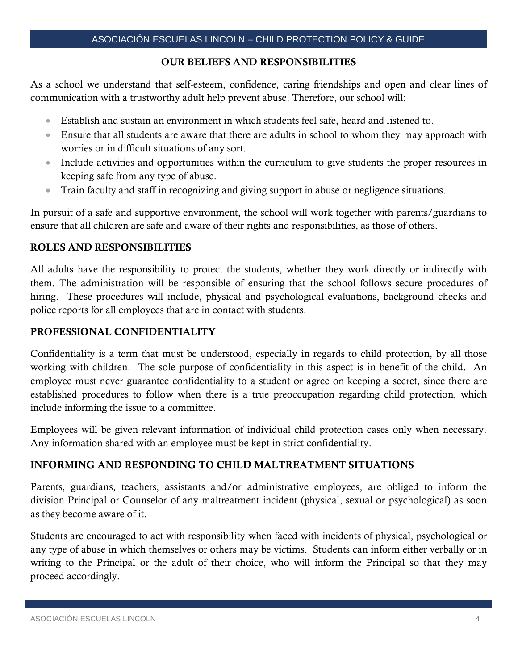#### OUR BELIEFS AND RESPONSIBILITIES

As a school we understand that self-esteem, confidence, caring friendships and open and clear lines of communication with a trustworthy adult help prevent abuse. Therefore, our school will:

- Establish and sustain an environment in which students feel safe, heard and listened to.
- Ensure that all students are aware that there are adults in school to whom they may approach with worries or in difficult situations of any sort.
- Include activities and opportunities within the curriculum to give students the proper resources in keeping safe from any type of abuse.
- Train faculty and staff in recognizing and giving support in abuse or negligence situations.

In pursuit of a safe and supportive environment, the school will work together with parents/guardians to ensure that all children are safe and aware of their rights and responsibilities, as those of others.

#### ROLES AND RESPONSIBILITIES

All adults have the responsibility to protect the students, whether they work directly or indirectly with them. The administration will be responsible of ensuring that the school follows secure procedures of hiring. These procedures will include, physical and psychological evaluations, background checks and police reports for all employees that are in contact with students.

#### PROFESSIONAL CONFIDENTIALITY

Confidentiality is a term that must be understood, especially in regards to child protection, by all those working with children. The sole purpose of confidentiality in this aspect is in benefit of the child. An employee must never guarantee confidentiality to a student or agree on keeping a secret, since there are established procedures to follow when there is a true preoccupation regarding child protection, which include informing the issue to a committee.

Employees will be given relevant information of individual child protection cases only when necessary. Any information shared with an employee must be kept in strict confidentiality.

# INFORMING AND RESPONDING TO CHILD MALTREATMENT SITUATIONS

Parents, guardians, teachers, assistants and/or administrative employees, are obliged to inform the division Principal or Counselor of any maltreatment incident (physical, sexual or psychological) as soon as they become aware of it.

Students are encouraged to act with responsibility when faced with incidents of physical, psychological or any type of abuse in which themselves or others may be victims. Students can inform either verbally or in writing to the Principal or the adult of their choice, who will inform the Principal so that they may proceed accordingly.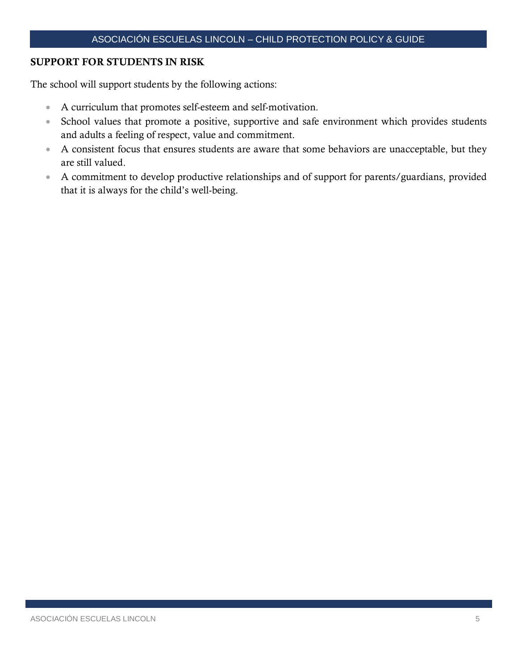#### SUPPORT FOR STUDENTS IN RISK

The school will support students by the following actions:

- A curriculum that promotes self-esteem and self-motivation.
- School values that promote a positive, supportive and safe environment which provides students and adults a feeling of respect, value and commitment.
- A consistent focus that ensures students are aware that some behaviors are unacceptable, but they are still valued.
- A commitment to develop productive relationships and of support for parents/guardians, provided that it is always for the child's well-being.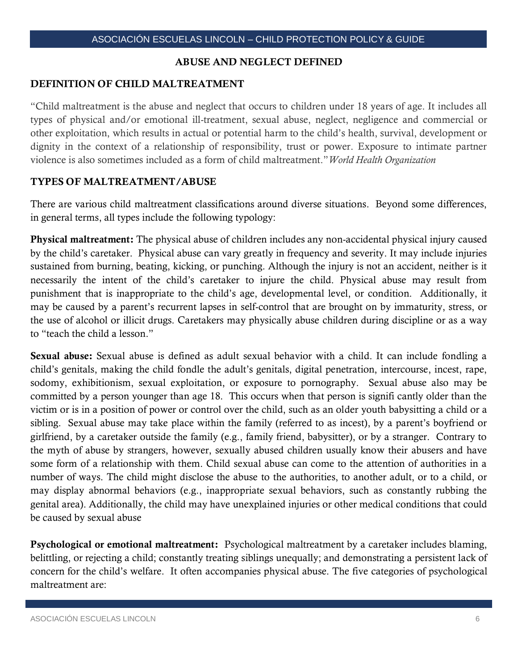#### ABUSE AND NEGLECT DEFINED

#### DEFINITION OF CHILD MALTREATMENT

"Child maltreatment is the abuse and neglect that occurs to children under 18 years of age. It includes all types of physical and/or emotional ill-treatment, sexual abuse, neglect, negligence and commercial or other exploitation, which results in actual or potential harm to the child's health, survival, development or dignity in the context of a relationship of responsibility, trust or power. Exposure to intimate partner violence is also sometimes included as a form of child maltreatment."*World Health Organization*

#### TYPES OF MALTREATMENT/ABUSE

There are various child maltreatment classifications around diverse situations. Beyond some differences, in general terms, all types include the following typology:

Physical maltreatment: The physical abuse of children includes any non-accidental physical injury caused by the child's caretaker. Physical abuse can vary greatly in frequency and severity. It may include injuries sustained from burning, beating, kicking, or punching. Although the injury is not an accident, neither is it necessarily the intent of the child's caretaker to injure the child. Physical abuse may result from punishment that is inappropriate to the child's age, developmental level, or condition. Additionally, it may be caused by a parent's recurrent lapses in self-control that are brought on by immaturity, stress, or the use of alcohol or illicit drugs. Caretakers may physically abuse children during discipline or as a way to "teach the child a lesson."

Sexual abuse: Sexual abuse is defined as adult sexual behavior with a child. It can include fondling a child's genitals, making the child fondle the adult's genitals, digital penetration, intercourse, incest, rape, sodomy, exhibitionism, sexual exploitation, or exposure to pornography. Sexual abuse also may be committed by a person younger than age 18. This occurs when that person is signifi cantly older than the victim or is in a position of power or control over the child, such as an older youth babysitting a child or a sibling. Sexual abuse may take place within the family (referred to as incest), by a parent's boyfriend or girlfriend, by a caretaker outside the family (e.g., family friend, babysitter), or by a stranger. Contrary to the myth of abuse by strangers, however, sexually abused children usually know their abusers and have some form of a relationship with them. Child sexual abuse can come to the attention of authorities in a number of ways. The child might disclose the abuse to the authorities, to another adult, or to a child, or may display abnormal behaviors (e.g., inappropriate sexual behaviors, such as constantly rubbing the genital area). Additionally, the child may have unexplained injuries or other medical conditions that could be caused by sexual abuse

Psychological or emotional maltreatment: Psychological maltreatment by a caretaker includes blaming, belittling, or rejecting a child; constantly treating siblings unequally; and demonstrating a persistent lack of concern for the child's welfare. It often accompanies physical abuse. The five categories of psychological maltreatment are: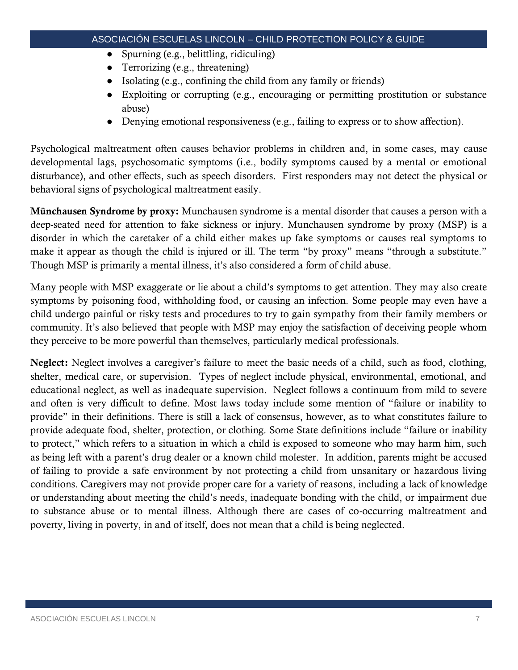- Spurning (e.g., belittling, ridiculing)
- Terrorizing (e.g., threatening)
- Isolating (e.g., confining the child from any family or friends)
- Exploiting or corrupting (e.g., encouraging or permitting prostitution or substance abuse)
- Denying emotional responsiveness (e.g., failing to express or to show affection).

Psychological maltreatment often causes behavior problems in children and, in some cases, may cause developmental lags, psychosomatic symptoms (i.e., bodily symptoms caused by a mental or emotional disturbance), and other effects, such as speech disorders. First responders may not detect the physical or behavioral signs of psychological maltreatment easily.

Münchausen Syndrome by proxy: Munchausen syndrome is a mental disorder that causes a person with a deep-seated need for attention to fake sickness or injury. Munchausen syndrome by proxy (MSP) is a disorder in which the caretaker of a child either makes up fake symptoms or causes real symptoms to make it appear as though the child is injured or ill. The term "by proxy" means "through a substitute." Though MSP is primarily a mental illness, it's also considered a form of child abuse.

Many people with MSP exaggerate or lie about a child's symptoms to get attention. They may also create symptoms by poisoning food, withholding food, or causing an infection. Some people may even have a child undergo painful or risky tests and procedures to try to gain sympathy from their family members or community. It's also believed that people with MSP may enjoy the satisfaction of deceiving people whom they perceive to be more powerful than themselves, particularly medical professionals.

Neglect: Neglect involves a caregiver's failure to meet the basic needs of a child, such as food, clothing, shelter, medical care, or supervision. Types of neglect include physical, environmental, emotional, and educational neglect, as well as inadequate supervision. Neglect follows a continuum from mild to severe and often is very difficult to define. Most laws today include some mention of "failure or inability to provide" in their definitions. There is still a lack of consensus, however, as to what constitutes failure to provide adequate food, shelter, protection, or clothing. Some State definitions include "failure or inability to protect," which refers to a situation in which a child is exposed to someone who may harm him, such as being left with a parent's drug dealer or a known child molester. In addition, parents might be accused of failing to provide a safe environment by not protecting a child from unsanitary or hazardous living conditions. Caregivers may not provide proper care for a variety of reasons, including a lack of knowledge or understanding about meeting the child's needs, inadequate bonding with the child, or impairment due to substance abuse or to mental illness. Although there are cases of co-occurring maltreatment and poverty, living in poverty, in and of itself, does not mean that a child is being neglected.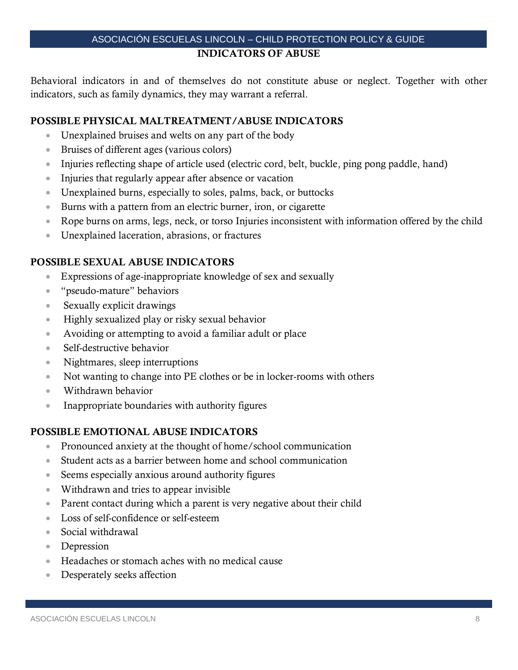# ASOCIACIÓN ESCUELAS LINCOLN – CHILD PROTECTION POLICY & GUIDE INDICATORS OF ABUSE

Behavioral indicators in and of themselves do not constitute abuse or neglect. Together with other indicators, such as family dynamics, they may warrant a referral.

# POSSIBLE PHYSICAL MALTREATMENT/ABUSE INDICATORS

- Unexplained bruises and welts on any part of the body
- Bruises of different ages (various colors)
- Injuries reflecting shape of article used (electric cord, belt, buckle, ping pong paddle, hand)
- Injuries that regularly appear after absence or vacation
- Unexplained burns, especially to soles, palms, back, or buttocks
- Burns with a pattern from an electric burner, iron, or cigarette
- Rope burns on arms, legs, neck, or torso Injuries inconsistent with information offered by the child
- Unexplained laceration, abrasions, or fractures

#### POSSIBLE SEXUAL ABUSE INDICATORS

- Expressions of age-inappropriate knowledge of sex and sexually
- "pseudo-mature" behaviors
- Sexually explicit drawings
- Highly sexualized play or risky sexual behavior
- Avoiding or attempting to avoid a familiar adult or place
- Self-destructive behavior
- Nightmares, sleep interruptions
- Not wanting to change into PE clothes or be in locker-rooms with others
- Withdrawn behavior
- Inappropriate boundaries with authority figures

#### POSSIBLE EMOTIONAL ABUSE INDICATORS

- Pronounced anxiety at the thought of home/school communication
- Student acts as a barrier between home and school communication
- Seems especially anxious around authority figures
- Withdrawn and tries to appear invisible
- Parent contact during which a parent is very negative about their child
- Loss of self-confidence or self-esteem
- Social withdrawal
- Depression
- Headaches or stomach aches with no medical cause
- Desperately seeks affection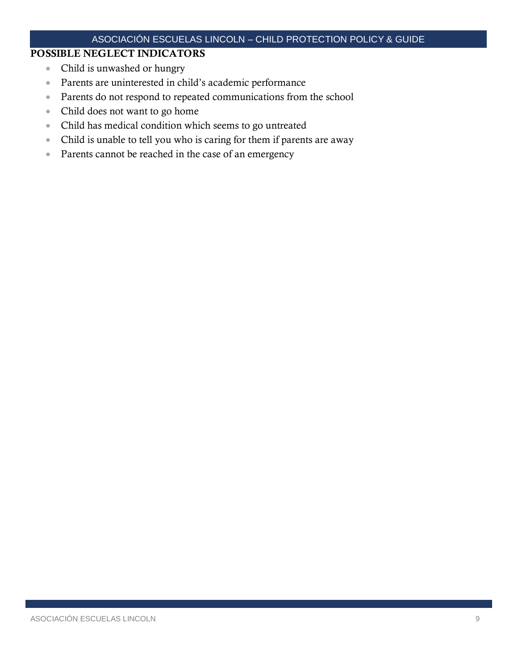# ASOCIACIÓN ESCUELAS LINCOLN – CHILD PROTECTION POLICY & GUIDE

# POSSIBLE NEGLECT INDICATORS

- Child is unwashed or hungry
- Parents are uninterested in child's academic performance
- Parents do not respond to repeated communications from the school
- Child does not want to go home
- Child has medical condition which seems to go untreated
- Child is unable to tell you who is caring for them if parents are away
- Parents cannot be reached in the case of an emergency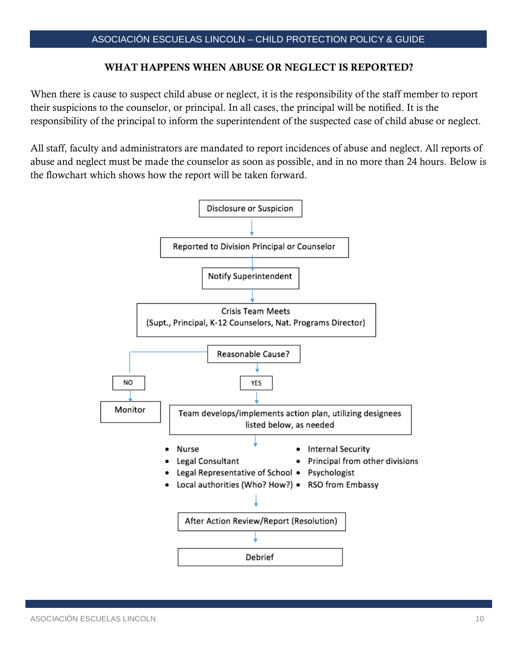#### WHAT HAPPENS WHEN ABUSE OR NEGLECT IS REPORTED?

When there is cause to suspect child abuse or neglect, it is the responsibility of the staff member to report their suspicions to the counselor, or principal. In all cases, the principal will be notified. It is the responsibility of the principal to inform the superintendent of the suspected case of child abuse or neglect.

All staff, faculty and administrators are mandated to report incidences of abuse and neglect. All reports of abuse and neglect must be made the counselor as soon as possible, and in no more than 24 hours. Below is the flowchart which shows how the report will be taken forward.

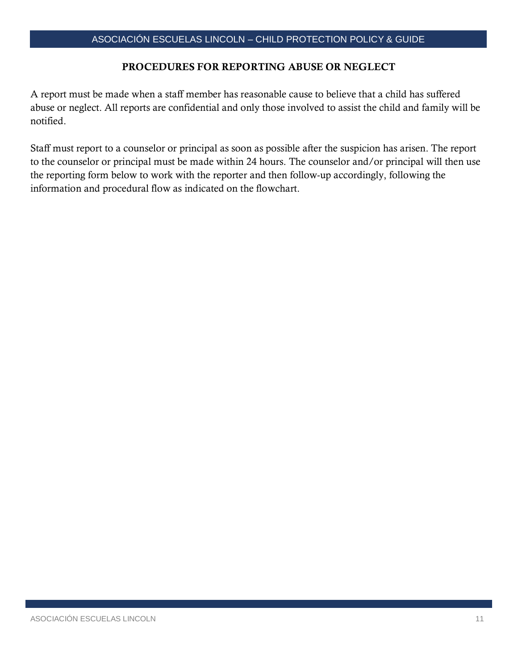#### PROCEDURES FOR REPORTING ABUSE OR NEGLECT

A report must be made when a staff member has reasonable cause to believe that a child has suffered abuse or neglect. All reports are confidential and only those involved to assist the child and family will be notified.

Staff must report to a counselor or principal as soon as possible after the suspicion has arisen. The report to the counselor or principal must be made within 24 hours. The counselor and/or principal will then use the reporting form below to work with the reporter and then follow-up accordingly, following the information and procedural flow as indicated on the flowchart.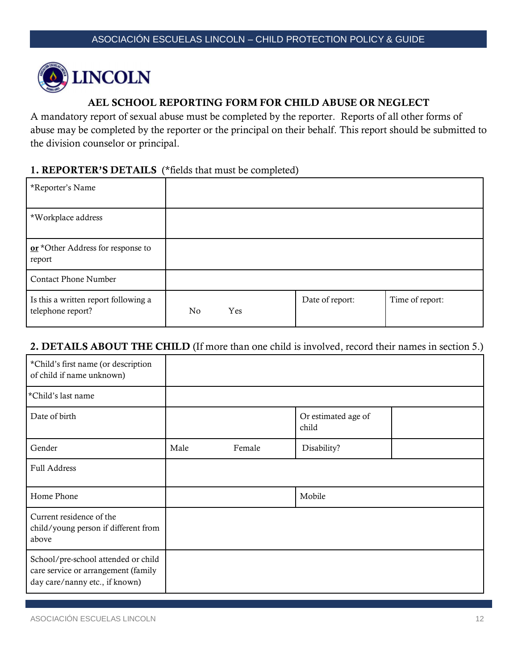

# AEL SCHOOL REPORTING FORM FOR CHILD ABUSE OR NEGLECT

A mandatory report of sexual abuse must be completed by the reporter. Reports of all other forms of abuse may be completed by the reporter or the principal on their behalf. This report should be submitted to the division counselor or principal.

#### 1. REPORTER'S DETAILS (\*fields that must be completed)

| *Reporter's Name                                          |    |     |                 |                 |
|-----------------------------------------------------------|----|-----|-----------------|-----------------|
| *Workplace address                                        |    |     |                 |                 |
| or *Other Address for response to<br>report               |    |     |                 |                 |
| <b>Contact Phone Number</b>                               |    |     |                 |                 |
| Is this a written report following a<br>telephone report? | No | Yes | Date of report: | Time of report: |

# 2. DETAILS ABOUT THE CHILD (If more than one child is involved, record their names in section 5.)

| *Child's first name (or description<br>of child if name unknown)                                             |      |        |                              |  |
|--------------------------------------------------------------------------------------------------------------|------|--------|------------------------------|--|
| *Child's last name                                                                                           |      |        |                              |  |
| Date of birth                                                                                                |      |        | Or estimated age of<br>child |  |
| Gender                                                                                                       | Male | Female | Disability?                  |  |
| <b>Full Address</b>                                                                                          |      |        |                              |  |
| Home Phone                                                                                                   |      |        | Mobile                       |  |
| Current residence of the<br>child/young person if different from<br>above                                    |      |        |                              |  |
| School/pre-school attended or child<br>care service or arrangement (family<br>day care/nanny etc., if known) |      |        |                              |  |